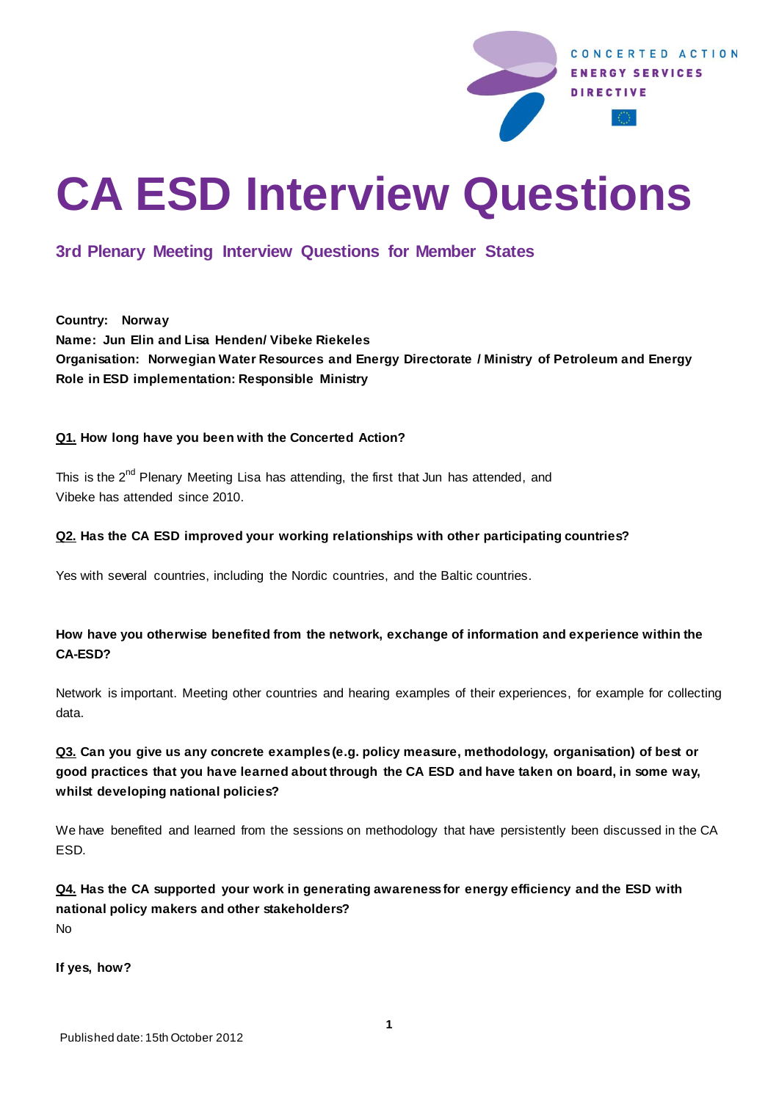

# **CA ESD Interview Questions**

# **3rd Plenary Meeting Interview Questions for Member States**

**Country: Norway Name: Jun Elin and Lisa Henden/ Vibeke Riekeles Organisation: Norwegian Water Resources and Energy Directorate / Ministry of Petroleum and Energy Role in ESD implementation: Responsible Ministry**

## **Q1. How long have you been with the Concerted Action?**

This is the  $2^{nd}$  Plenary Meeting Lisa has attending, the first that Jun has attended, and Vibeke has attended since 2010.

#### **Q2. Has the CA ESD improved your working relationships with other participating countries?**

Yes with several countries, including the Nordic countries, and the Baltic countries.

## **How have you otherwise benefited from the network, exchange of information and experience within the CA-ESD?**

Network is important. Meeting other countries and hearing examples of their experiences, for example for collecting data.

## **Q3. Can you give us any concrete examples (e.g. policy measure, methodology, organisation) of best or good practices that you have learned about through the CA ESD and have taken on board, in some way, whilst developing national policies?**

We have benefited and learned from the sessions on methodology that have persistently been discussed in the CA ESD.

### **Q4. Has the CA supported your work in generating awareness for energy efficiency and the ESD with national policy makers and other stakeholders?** No

**If yes, how?**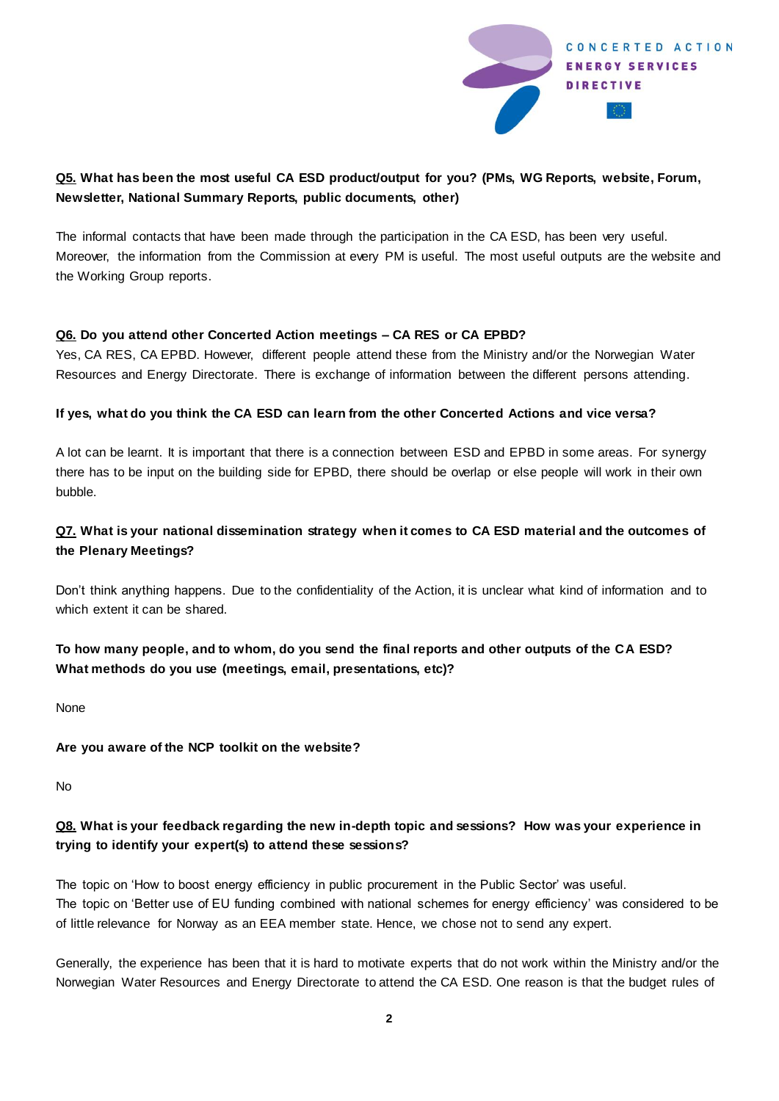

## **Q5. What has been the most useful CA ESD product/output for you? (PMs, WG Reports, website, Forum, Newsletter, National Summary Reports, public documents, other)**

The informal contacts that have been made through the participation in the CA ESD, has been very useful. Moreover, the information from the Commission at every PM is useful. The most useful outputs are the website and the Working Group reports.

#### **Q6. Do you attend other Concerted Action meetings – CA RES or CA EPBD?**

Yes, CA RES, CA EPBD. However, different people attend these from the Ministry and/or the Norwegian Water Resources and Energy Directorate. There is exchange of information between the different persons attending.

#### **If yes, what do you think the CA ESD can learn from the other Concerted Actions and vice versa?**

A lot can be learnt. It is important that there is a connection between ESD and EPBD in some areas. For synergy there has to be input on the building side for EPBD, there should be overlap or else people will work in their own bubble.

## **Q7. What is your national dissemination strategy when it comes to CA ESD material and the outcomes of the Plenary Meetings?**

Don't think anything happens. Due to the confidentiality of the Action, it is unclear what kind of information and to which extent it can be shared.

## **To how many people, and to whom, do you send the final reports and other outputs of the CA ESD? What methods do you use (meetings, email, presentations, etc)?**

None

#### **Are you aware of the NCP toolkit on the website?**

No

## **Q8. What is your feedback regarding the new in-depth topic and sessions? How was your experience in trying to identify your expert(s) to attend these sessions?**

The topic on 'How to boost energy efficiency in public procurement in the Public Sector' was useful. The topic on 'Better use of EU funding combined with national schemes for energy efficiency' was considered to be of little relevance for Norway as an EEA member state. Hence, we chose not to send any expert.

Generally, the experience has been that it is hard to motivate experts that do not work within the Ministry and/or the Norwegian Water Resources and Energy Directorate to attend the CA ESD. One reason is that the budget rules of